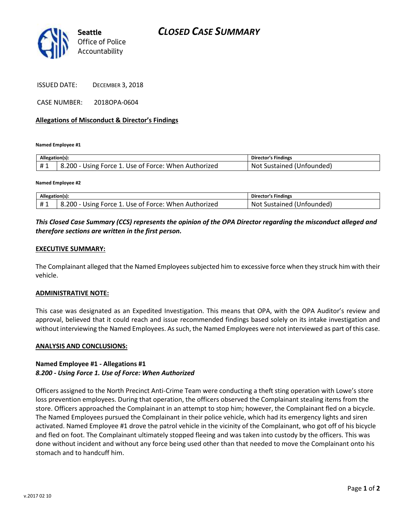

ISSUED DATE: DECEMBER 3, 2018

CASE NUMBER: 2018OPA-0604

#### **Allegations of Misconduct & Director's Findings**

**Named Employee #1**

| Allegation(s): |                                                                   | <b>Director's Findings</b>      |
|----------------|-------------------------------------------------------------------|---------------------------------|
| ᅲᆚ             | Using Force 1. Use of Force: When Authorized<br>$\delta$ .200 - ' | t Sustained (Unfounded)<br>Not. |

**Named Employee #2**

| Alle.<br>egation(s) |                                                                      | <b>Director's Findings</b>       |
|---------------------|----------------------------------------------------------------------|----------------------------------|
| ᅲᆚ                  | ۔ 200ء<br>When<br>Authorized<br>Force<br>Use of '<br>Force:<br>Jsıng | ounded)<br>™∩*<br>צוור<br>statr. |

## *This Closed Case Summary (CCS) represents the opinion of the OPA Director regarding the misconduct alleged and therefore sections are written in the first person.*

### **EXECUTIVE SUMMARY:**

The Complainant alleged that the Named Employees subjected him to excessive force when they struck him with their vehicle.

#### **ADMINISTRATIVE NOTE:**

This case was designated as an Expedited Investigation. This means that OPA, with the OPA Auditor's review and approval, believed that it could reach and issue recommended findings based solely on its intake investigation and without interviewing the Named Employees. As such, the Named Employees were not interviewed as part of this case.

#### **ANALYSIS AND CONCLUSIONS:**

## **Named Employee #1 - Allegations #1** *8.200 - Using Force 1. Use of Force: When Authorized*

Officers assigned to the North Precinct Anti-Crime Team were conducting a theft sting operation with Lowe's store loss prevention employees. During that operation, the officers observed the Complainant stealing items from the store. Officers approached the Complainant in an attempt to stop him; however, the Complainant fled on a bicycle. The Named Employees pursued the Complainant in their police vehicle, which had its emergency lights and siren activated. Named Employee #1 drove the patrol vehicle in the vicinity of the Complainant, who got off of his bicycle and fled on foot. The Complainant ultimately stopped fleeing and was taken into custody by the officers. This was done without incident and without any force being used other than that needed to move the Complainant onto his stomach and to handcuff him.